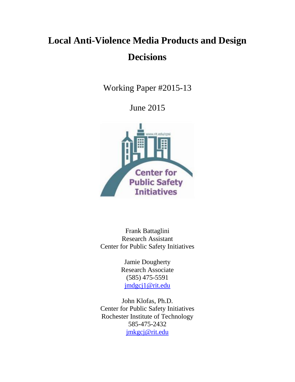# **Local Anti-Violence Media Products and Design Decisions**

Working Paper #2015-13

June 2015



Frank Battaglini Research Assistant Center for Public Safety Initiatives

> Jamie Dougherty Research Associate (585) 475-5591 [jmdgcj1@rit.edu](mailto:jmdgcj1@rit.edu)

John Klofas, Ph.D. Center for Public Safety Initiatives Rochester Institute of Technology 585-475-2432 [jmkgcj@rit.edu](mailto:jmkgcj@rit.edu)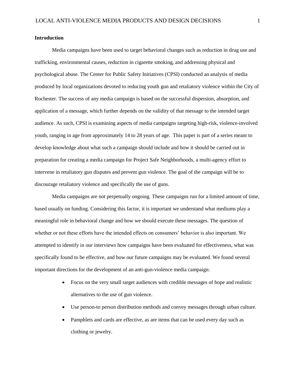## **Introduction**

Media campaigns have been used to target behavioral changes such as reduction in drug use and trafficking, environmental causes, reduction in cigarette smoking, and addressing physical and psychological abuse. The Center for Public Safety Initiatives (CPSI) conducted an analysis of media produced by local organizations devoted to reducing youth gun and retaliatory violence within the City of Rochester. The success of any media campaign is based on the successful dispersion, absorption, and application of a message, which further depends on the validity of that message to the intended target audience. As such, CPSI is examining aspects of media campaigns targeting high-risk, violence-involved youth, ranging in age from approximately 14 to 28 years of age. This paper is part of a series meant to develop knowledge about what such a campaign should include and how it should be carried out in preparation for creating a media campaign for Project Safe Neighborhoods, a multi-agency effort to intervene in retaliatory gun disputes and prevent gun violence. The goal of the campaign will be to discourage retaliatory violence and specifically the use of guns.

Media campaigns are not perpetually ongoing. These campaigns run for a limited amount of time, based usually on funding. Considering this factor, it is important we understand what mediums play a meaningful role in behavioral change and how we should execute these messages. The question of whether or not these efforts have the intended effects on consumers' behavior is also important. We attempted to identify in our interviews how campaigns have been evaluated for effectiveness, what was specifically found to be effective, and how our future campaigns may be evaluated. We found several important directions for the development of an anti-gun-violence media campaign:

- Focus on the very small target audiences with credible messages of hope and realistic alternatives to the use of gun violence.
- Use person-to person distribution methods and convey messages through urban culture.
- Pamphlets and cards are effective, as are items that can be used every day such as clothing or jewelry.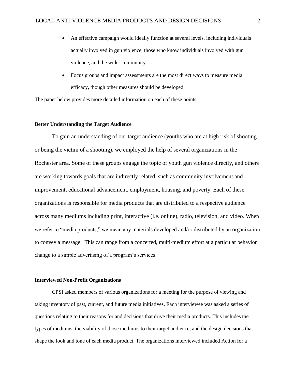- An effective campaign would ideally function at several levels, including individuals actually involved in gun violence, those who know individuals involved with gun violence, and the wider community.
- Focus groups and impact assessments are the most direct ways to measure media efficacy, though other measures should be developed.

The paper below provides more detailed information on each of these points.

## **Better Understanding the Target Audience**

To gain an understanding of our target audience (youths who are at high risk of shooting or being the victim of a shooting), we employed the help of several organizations in the Rochester area. Some of these groups engage the topic of youth gun violence directly, and others are working towards goals that are indirectly related, such as community involvement and improvement, educational advancement, employment, housing, and poverty. Each of these organizations is responsible for media products that are distributed to a respective audience across many mediums including print, interactive (i.e. online), radio, television, and video. When we refer to "media products," we mean any materials developed and/or distributed by an organization to convey a message. This can range from a concerted, multi-medium effort at a particular behavior change to a simple advertising of a program's services.

#### **Interviewed Non-Profit Organizations**

CPSI asked members of various organizations for a meeting for the purpose of viewing and taking inventory of past, current, and future media initiatives. Each interviewee was asked a series of questions relating to their reasons for and decisions that drive their media products. This includes the types of mediums, the viability of those mediums to their target audience, and the design decisions that shape the look and tone of each media product. The organizations interviewed included Action for a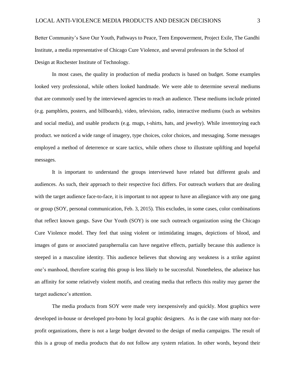Better Community's Save Our Youth, Pathways to Peace, Teen Empowerment, Project Exile, The Gandhi Institute, a media representative of Chicago Cure Violence, and several professors in the School of Design at Rochester Institute of Technology.

In most cases, the quality in production of media products is based on budget. Some examples looked very professional, while others looked handmade. We were able to determine several mediums that are commonly used by the interviewed agencies to reach an audience. These mediums include printed (e.g. pamphlets, posters, and billboards), video, television, radio, interactive mediums (such as websites and social media), and usable products (e.g. mugs, t-shirts, hats, and jewelry). While inventorying each product. we noticed a wide range of imagery, type choices, color choices, and messaging. Some messages employed a method of deterrence or scare tactics, while others chose to illustrate uplifting and hopeful messages.

It is important to understand the groups interviewed have related but different goals and audiences. As such, their approach to their respective foci differs. For outreach workers that are dealing with the target audience face-to-face, it is important to not appear to have an allegiance with any one gang or group (SOY, personal communication, Feb. 3, 2015). This excludes, in some cases, color combinations that reflect known gangs. Save Our Youth (SOY) is one such outreach organization using the Chicago Cure Violence model. They feel that using violent or intimidating images, depictions of blood, and images of guns or associated paraphernalia can have negative effects, partially because this audience is steeped in a masculine identity. This audience believes that showing any weakness is a strike against one's manhood, therefore scaring this group is less likely to be successful. Nonetheless, the adueince has an affinity for some relatively violent motifs, and creating media that reflects this reality may garner the target audience's attention.

The media products from SOY were made very inexpensively and quickly. Most graphics were developed in-house or developed pro-bono by local graphic designers. As is the case with many not-forprofit organizations, there is not a large budget devoted to the design of media campaigns. The result of this is a group of media products that do not follow any system relation. In other words, beyond their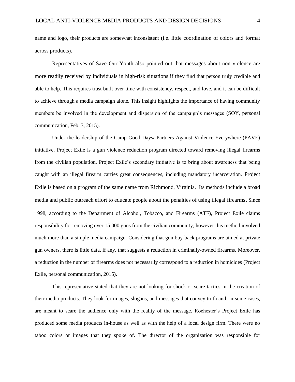name and logo, their products are somewhat inconsistent (i.e. little coordination of colors and format across products).

Representatives of Save Our Youth also pointed out that messages about non-violence are more readily received by individuals in high-risk situations if they find that person truly credible and able to help. This requires trust built over time with consistency, respect, and love, and it can be difficult to achieve through a media campaign alone. This insight highlights the importance of having community members be involved in the development and dispersion of the campaign's messages (SOY, personal communication, Feb. 3, 2015).

Under the leadership of the Camp Good Days/ Partners Against Violence Everywhere (PAVE) initiative, Project Exile is a gun violence reduction program directed toward removing illegal firearms from the civilian population. Project Exile's secondary initiative is to bring about awareness that being caught with an illegal firearm carries great consequences, including mandatory incarceration. Project Exile is based on a program of the same name from Richmond, Virginia. Its methods include a broad media and public outreach effort to educate people about the penalties of using illegal firearms. Since 1998, according to the Department of Alcohol, Tobacco, and Firearms (ATF), Project Exile claims responsibility for removing over 15,000 guns from the civilian community; however this method involved much more than a simple media campaign. Considering that gun buy-back programs are aimed at private gun owners, there is little data, if any, that suggests a reduction in criminally-owned firearms. Moreover, a reduction in the number of firearms does not necessarily correspond to a reduction in homicides (Project Exile, personal communication, 2015).

This representative stated that they are not looking for shock or scare tactics in the creation of their media products. They look for images, slogans, and messages that convey truth and, in some cases, are meant to scare the audience only with the reality of the message. Rochester's Project Exile has produced some media products in-house as well as with the help of a local design firm. There were no taboo colors or images that they spoke of. The director of the organization was responsible for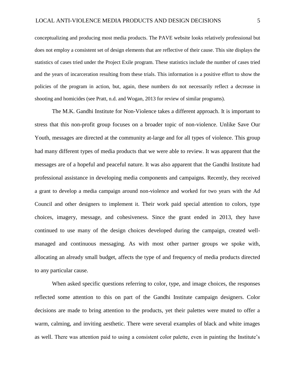conceptualizing and producing most media products. The PAVE website looks relatively professional but does not employ a consistent set of design elements that are reflective of their cause. This site displays the statistics of cases tried under the Project Exile program. These statistics include the number of cases tried and the years of incarceration resulting from these trials. This information is a positive effort to show the policies of the program in action, but, again, these numbers do not necessarily reflect a decrease in shooting and homicides (see Pratt, n.d. and Wogan, 2013 for review of similar programs).

The M.K. Gandhi Institute for Non-Violence takes a different approach. It is important to stress that this non-profit group focuses on a broader topic of non-violence. Unlike Save Our Youth, messages are directed at the community at-large and for all types of violence. This group had many different types of media products that we were able to review. It was apparent that the messages are of a hopeful and peaceful nature. It was also apparent that the Gandhi Institute had professional assistance in developing media components and campaigns. Recently, they received a grant to develop a media campaign around non-violence and worked for two years with the Ad Council and other designers to implement it. Their work paid special attention to colors, type choices, imagery, message, and cohesiveness. Since the grant ended in 2013, they have continued to use many of the design choices developed during the campaign, created wellmanaged and continuous messaging. As with most other partner groups we spoke with, allocating an already small budget, affects the type of and frequency of media products directed to any particular cause.

When asked specific questions referring to color, type, and image choices, the responses reflected some attention to this on part of the Gandhi Institute campaign designers. Color decisions are made to bring attention to the products, yet their palettes were muted to offer a warm, calming, and inviting aesthetic. There were several examples of black and white images as well. There was attention paid to using a consistent color palette, even in painting the Institute's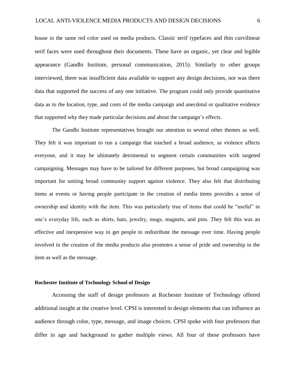house in the same red color used on media products. Classic serif typefaces and thin curvilinear serif faces were used throughout their documents. These have an organic, yet clear and legible appearance (Gandhi Institute, personal communication, 2015). Similarly to other groups interviewed, there was insufficient data available to support any design decisions, nor was there data that supported the success of any one initiative. The program could only provide quantitative data as to the location, type, and costs of the media campaign and anecdotal or qualitative evidence that supported why they made particular decisions and about the campaign's effects.

The Gandhi Institute representatives brought our attention to several other themes as well. They felt it was important to run a campaign that touched a broad audience, as violence affects everyone, and it may be ultimately detrimental to segment certain communities with targeted campaigning. Messages may have to be tailored for different purposes, but broad campaigning was important for uniting broad community support against violence. They also felt that distributing items at events or having people participate in the creation of media items provides a sense of ownership and identity with the item. This was particularly true of items that could be "useful" in one's everyday life, such as shirts, hats, jewelry, mugs, magnets, and pins. They felt this was an effective and inexpensive way to get people to redistribute the message over time. Having people involved in the creation of the media products also promotes a sense of pride and ownership in the item as well as the message.

# **Rochester Institute of Technology School of Design**

Accessing the staff of design professors at Rochester Institute of Technology offered additional insight at the creative level. CPSI is interested in design elements that can influence an audience through color, type, message, and image choices. CPSI spoke with four professors that differ in age and background to gather multiple views. All four of these professors have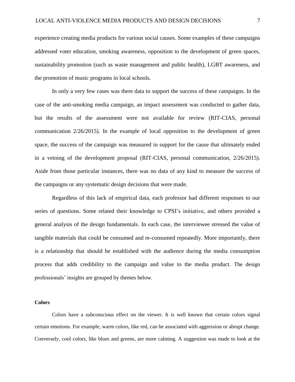experience creating media products for various social causes. Some examples of these campaigns addressed voter education, smoking awareness, opposition to the development of green spaces, sustainability promotion (such as waste management and public health), LGBT awareness, and the promotion of music programs in local schools.

In only a very few cases was there data to support the success of these campaigns. In the case of the anti-smoking media campaign, an impact assessment was conducted to gather data, but the results of the assessment were not available for review (RIT-CIAS, personal communication 2/26/2015). In the example of local opposition to the development of green space, the success of the campaign was measured in support for the cause that ultimately ended in a vetoing of the development proposal (RIT-CIAS, personal communication, 2/26/2015). Aside from those particular instances, there was no data of any kind to measure the success of the campaigns or any systematic design decisions that were made.

Regardless of this lack of empirical data, each professor had different responses to our series of questions. Some related their knowledge to CPSI's initiative, and others provided a general analysis of the design fundamentals. In each case, the interviewee stressed the value of tangible materials that could be consumed and re-consumed repeatedly. More importantly, there is a relationship that should be established with the audience during the media consumption process that adds credibility to the campaign and value to the media product. The design professionals' insights are grouped by themes below.

## **Colors**

Colors have a subconscious effect on the viewer. It is well known that certain colors signal certain emotions. For example, warm colors, like red, can be associated with aggression or abrupt change. Conversely, cool colors, like blues and greens, are more calming. A suggestion was made to look at the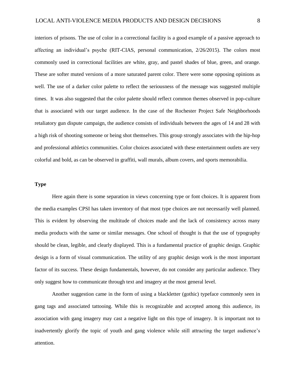interiors of prisons. The use of color in a correctional facility is a good example of a passive approach to affecting an individual's psyche (RIT-CIAS, personal communication, 2/26/2015). The colors most commonly used in correctional facilities are white, gray, and pastel shades of blue, green, and orange. These are softer muted versions of a more saturated parent color. There were some opposing opinions as well. The use of a darker color palette to reflect the seriousness of the message was suggested multiple times. It was also suggested that the color palette should reflect common themes observed in pop-culture that is associated with our target audience. In the case of the Rochester Project Safe Neighborhoods retaliatory gun dispute campaign, the audience consists of individuals between the ages of 14 and 28 with a high risk of shooting someone or being shot themselves. This group strongly associates with the hip-hop and professional athletics communities. Color choices associated with these entertainment outlets are very colorful and bold, as can be observed in graffiti, wall murals, album covers, and sports memorabilia.

# **Type**

Here again there is some separation in views concerning type or font choices. It is apparent from the media examples CPSI has taken inventory of that most type choices are not necessarily well planned. This is evident by observing the multitude of choices made and the lack of consistency across many media products with the same or similar messages. One school of thought is that the use of typography should be clean, legible, and clearly displayed. This is a fundamental practice of graphic design. Graphic design is a form of visual communication. The utility of any graphic design work is the most important factor of its success. These design fundamentals, however, do not consider any particular audience. They only suggest how to communicate through text and imagery at the most general level.

Another suggestion came in the form of using a blackletter (gothic) typeface commonly seen in gang tags and associated tattooing. While this is recognizable and accepted among this audience, its association with gang imagery may cast a negative light on this type of imagery. It is important not to inadvertently glorify the topic of youth and gang violence while still attracting the target audience's attention.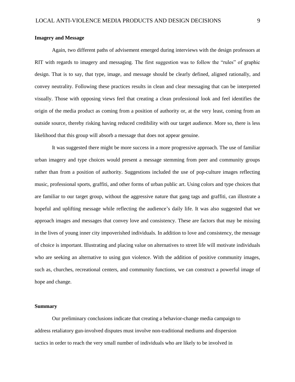## **Imagery and Message**

Again, two different paths of advisement emerged during interviews with the design professors at RIT with regards to imagery and messaging. The first suggestion was to follow the "rules" of graphic design. That is to say, that type, image, and message should be clearly defined, aligned rationally, and convey neutrality. Following these practices results in clean and clear messaging that can be interpreted visually. Those with opposing views feel that creating a clean professional look and feel identifies the origin of the media product as coming from a position of authority or, at the very least, coming from an outside source, thereby risking having reduced credibility with our target audience. More so, there is less likelihood that this group will absorb a message that does not appear genuine.

It was suggested there might be more success in a more progressive approach. The use of familiar urban imagery and type choices would present a message stemming from peer and community groups rather than from a position of authority. Suggestions included the use of pop-culture images reflecting music, professional sports, graffiti, and other forms of urban public art. Using colors and type choices that are familiar to our target group, without the aggressive nature that gang tags and graffiti, can illustrate a hopeful and uplifting message while reflecting the audience's daily life. It was also suggested that we approach images and messages that convey love and consistency. These are factors that may be missing in the lives of young inner city impoverished individuals. In addition to love and consistency, the message of choice is important. Illustrating and placing value on alternatives to street life will motivate individuals who are seeking an alternative to using gun violence. With the addition of positive community images, such as, churches, recreational centers, and community functions, we can construct a powerful image of hope and change.

## **Summary**

Our preliminary conclusions indicate that creating a behavior-change media campaign to address retaliatory gun-involved disputes must involve non-traditional mediums and dispersion tactics in order to reach the very small number of individuals who are likely to be involved in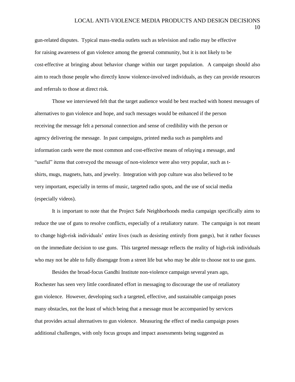## LOCAL ANTI-VIOLENCE MEDIA PRODUCTS AND DESIGN DECISIONS 10

gun-related disputes. Typical mass-media outlets such as television and radio may be effective for raising awareness of gun violence among the general community, but it is not likely to be cost-effective at bringing about behavior change within our target population. A campaign should also aim to reach those people who directly know violence-involved individuals, as they can provide resources and referrals to those at direct risk.

Those we interviewed felt that the target audience would be best reached with honest messages of alternatives to gun violence and hope, and such messages would be enhanced if the person receiving the message felt a personal connection and sense of credibility with the person or agency delivering the message. In past campaigns, printed media such as pamphlets and information cards were the most common and cost-effective means of relaying a message, and "useful" items that conveyed the message of non-violence were also very popular, such as tshirts, mugs, magnets, hats, and jewelry. Integration with pop culture was also believed to be very important, especially in terms of music, targeted radio spots, and the use of social media (especially videos).

It is important to note that the Project Safe Neighborhoods media campaign specifically aims to reduce the use of guns to resolve conflicts, especially of a retaliatory nature. The campaign is not meant to change high-risk individuals' entire lives (such as desisting entirely from gangs), but it rather focuses on the immediate decision to use guns. This targeted message reflects the reality of high-risk individuals who may not be able to fully disengage from a street life but who may be able to choose not to use guns.

Besides the broad-focus Gandhi Institute non-violence campaign several years ago, Rochester has seen very little coordinated effort in messaging to discourage the use of retaliatory gun violence. However, developing such a targeted, effective, and sustainable campaign poses many obstacles, not the least of which being that a message must be accompanied by services that provides actual alternatives to gun violence. Measuring the effect of media campaign poses additional challenges, with only focus groups and impact assessments being suggested as